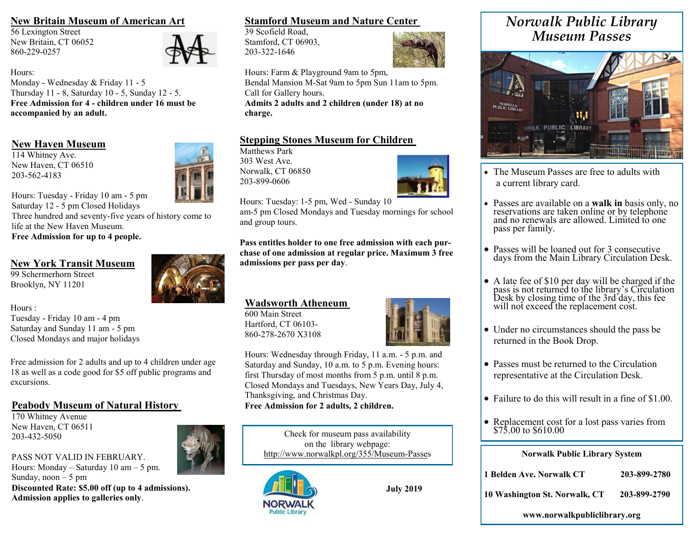## **[New Britain Museum of American Art](http://nbmaa.org/)**

56 Lexington Street New Britain, CT 06052 860-229-0257



Hours: Monday - Wednesday & Friday 11 - 5 Thursday 11 - 8, Saturday 10 - 5, Sunday 12 - 5. **Free Admission for 4 - children under 16 must be accompanied by an adult.** 

# **[New Haven Museum](http://newhavenmuseum.org/)**

114 Whitney Ave. New Haven, CT 06510 203-562-4183

Hours: Tuesday - Friday 10 am - 5 pm Saturday 12 - 5 pm Closed Holidays Three hundred and seventy-five years of history come to life at the New Haven Museum. **Free Admission for up to 4 people.**

## **[New York Transit Museum](https://www.nytransitmuseum.org/)**

99 Schermerhorn Street Brooklyn, NY 11201



Hours :

Tuesday - Friday 10 am - 4 pm Saturday and Sunday 11 am - 5 pm Closed Mondays and major holidays

Free admission for 2 adults and up to 4 children under age 18 as well as a code good for \$5 off public programs and excursions.

## **Peabody Museum of Natural History**

170 Whitney Avenue New Haven, CT 06511 203-432-5050



PASS NOT VALID IN FEBRUARY. Hours: Monday – Saturday 10 am – 5 pm. Sunday,  $noon - 5$  pm **Discounted Rate: \$5.00 off (up to 4 admissions). Admission applies to galleries only**.

## **Stamford [Museum and Nature Center](http://www.stamfordmuseum.org/)**

39 Scofield Road, Stamford, CT 06903, 203-322-1646



Hours: Farm & Playground 9am to 5pm, Bendal Mansion M-Sat 9am to 5pm Sun 11am to 5pm. Call for Gallery hours.

**Admits 2 adults and 2 children (under 18) at no charge.**

## **[Stepping Stones Museum for Children](http://www.steppingstonesmuseum.org/)**

Matthews Park 303 West Ave. Norwalk, CT 06850 203-899-0606



Hours: Tuesday: 1-5 pm, Wed - Sunday 10

am-5 pm Closed Mondays and Tuesday mornings for school and group tours.

**Pass entitles holder to one free admission with each purchase of one admission at regular price. Maximum 3 free admissions per pass per day**.

#### **[Wadsworth Atheneum](http://www.wadsworthatheneum.org/)**

600 Main Street Hartford, CT 06103- 860-278-2670 X3108



Hours: Wednesday through Friday, 11 a.m. - 5 p.m. and Saturday and Sunday, 10 a.m. to 5 p.m. Evening hours: first Thursday of most months from 5 p.m. until 8 p.m. Closed Mondays and Tuesdays, New Years Day, July 4, Thanksgiving, and Christmas Day. **Free Admission for 2 adults, 2 children.**

Check for museum pass availability on the library webpage: [http://www.norwalkpl.org/355/Museum-Passes](https://www.norwalkpl.org/355/Museum-Passes)



**July 2019**

- Passes must be returned to the Circulation representative at the Circulation Desk.
- Failure to do this will result in a fine of \$1.00
- Replacement cost for a lost pass varies from \$75.00 to \$610.00

| <b>Norwalk Public Library System</b> |              |
|--------------------------------------|--------------|
| 1 Belden Ave. Norwalk CT             | 203-899-2780 |
| 10 Washington St. Norwalk, CT        | 203-899-2790 |
| www.norwalkpubliclibrary.org         |              |





- The Museum Passes are free to adults with a current library card.
- Passes are available on a **walk in** basis only, no reservations are taken online or by telephone and no renewals are allowed. Limited to one pass per family.
- Passes will be loaned out for 3 consecutive days from the Main Library Circulation Desk.
- A late fee of \$10 per day will be charged if the pass is not returned to the library's Circulation Desk by closing time of the 3rd day, this fee will not exceed the replacement cost.
- Under no circumstances should the pass be returned in the Book Drop.
- 
-